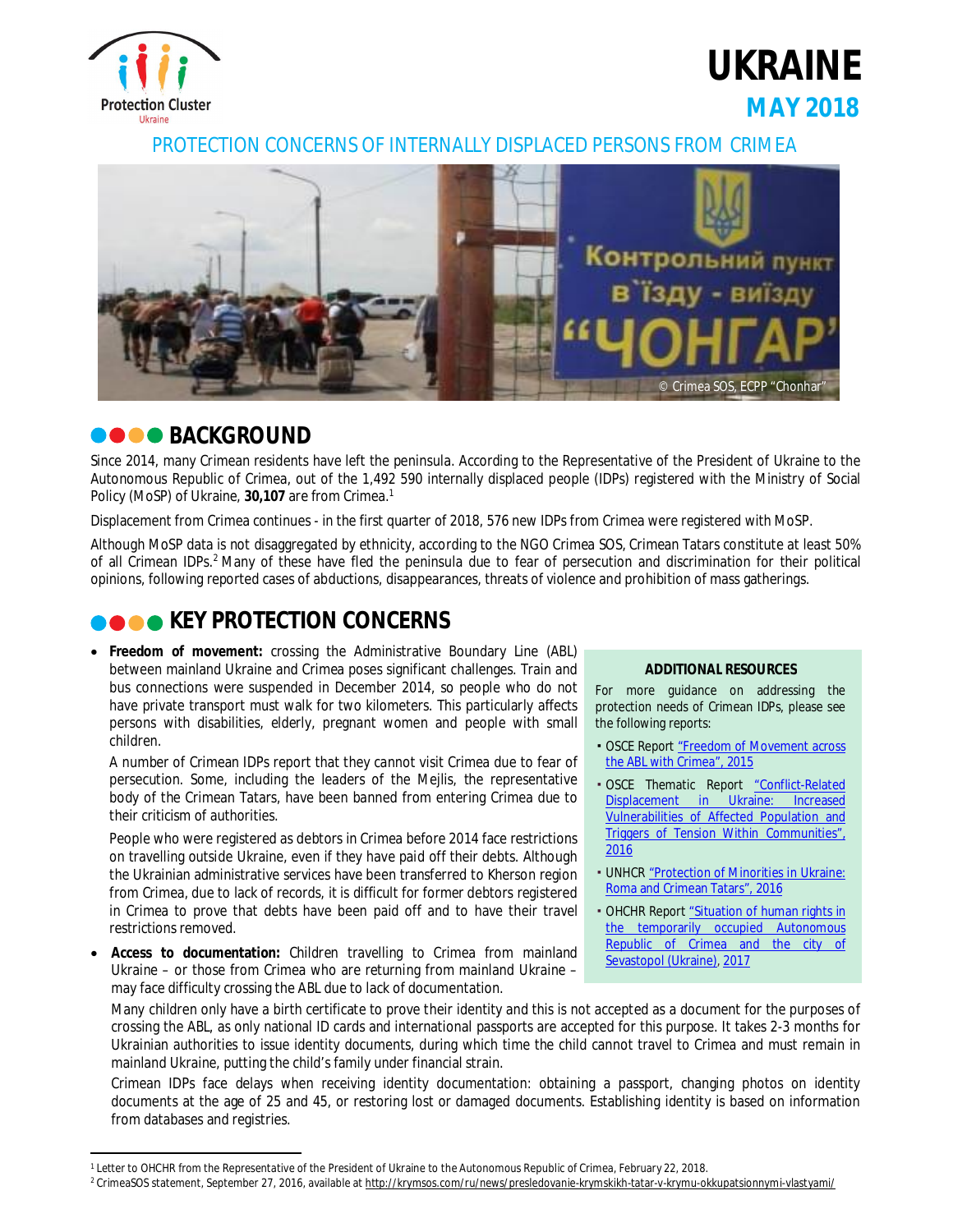

**UKRAINE MAY 2018**

PROTECTION CONCERNS OF INTERNALLY DISPLACED PERSONS FROM CRIMEA



# **BACKGROUND**

Since 2014, many Crimean residents have left the peninsula. According to the Representative of the President of Ukraine to the Autonomous Republic of Crimea, out of the 1,492 590 internally displaced people (IDPs) registered with the Ministry of Social Policy (MoSP) of Ukraine, **30,107** are from Crimea.<sup>1</sup>

Displacement from Crimea continues - in the first quarter of 2018, 576 new IDPs from Crimea were registered with MoSP.

Although MoSP data is not disaggregated by ethnicity, according to the NGO Crimea SOS, Crimean Tatars constitute at least 50% of all Crimean IDPs.<sup>2</sup> Many of these have fled the peninsula due to fear of persecution and discrimination for their political opinions, following reported cases of abductions, disappearances, threats of violence and prohibition of mass gatherings.

# **KEY PROTECTION CONCERNS**

 **Freedom of movement:** crossing the Administrative Boundary Line (ABL) between mainland Ukraine and Crimea poses significant challenges. Train and bus connections were suspended in December 2014, so people who do not have private transport must walk for two kilometers. This particularly affects persons with disabilities, elderly, pregnant women and people with small children.

A number of Crimean IDPs report that they cannot visit Crimea due to fear of persecution. Some, including the leaders of the Mejlis, the representative body of the Crimean Tatars, have been banned from entering Crimea due to their criticism of authorities.

People who were registered as debtors in Crimea before 2014 face restrictions on travelling outside Ukraine, even if they have paid off their debts. Although the Ukrainian administrative services have been transferred to Kherson region from Crimea, due to lack of records, it is difficult for former debtors registered in Crimea to prove that debts have been paid off and to have their travel restrictions removed.

 **Access to documentation:** Children travelling to Crimea from mainland Ukraine – or those from Crimea who are returning from mainland Ukraine – may face difficulty crossing the ABL due to lack of documentation.

## **ADDITIONAL RESOURCES**

For more guidance on addressing the protection needs of Crimean IDPs, please see the following reports:

- **OSCE Report "Freedom of Movement across"** the ABL with Crimea", 2015
- OSCE Thematic Report "Conflict-Related Displacement in Ukraine: Increased Vulnerabilities of Affected Population and Triggers of Tension Within Communities", 2016
- **. UNHCR** "Protection of Minorities in Ukraine: Roma and Crimean Tatars", 2016
- **OHCHR Report "Situation of human rights in** the temporarily occupied Autonomous Republic of Crimea and the city of Sevastopol (Ukraine), 2017

Many children only have a birth certificate to prove their identity and this is not accepted as a document for the purposes of crossing the ABL, as only national ID cards and international passports are accepted for this purpose. It takes 2-3 months for Ukrainian authorities to issue identity documents, during which time the child cannot travel to Crimea and must remain in mainland Ukraine, putting the child's family under financial strain.

Crimean IDPs face delays when receiving identity documentation: obtaining a passport, changing photos on identity documents at the age of 25 and 45, or restoring lost or damaged documents. Establishing identity is based on information from databases and registries.

 $\overline{a}$ <sup>1</sup> Letter to OHCHR from the Representative of the President of Ukraine to the Autonomous Republic of Crimea, February 22, 2018.

<sup>&</sup>lt;sup>2</sup> CrimeaSOS statement, September 27, 2016, available at <http://krymsos.com/ru/news/presledovanie-krymskikh-tatar-v-krymu-okkupatsionnymi-vlastyami/>